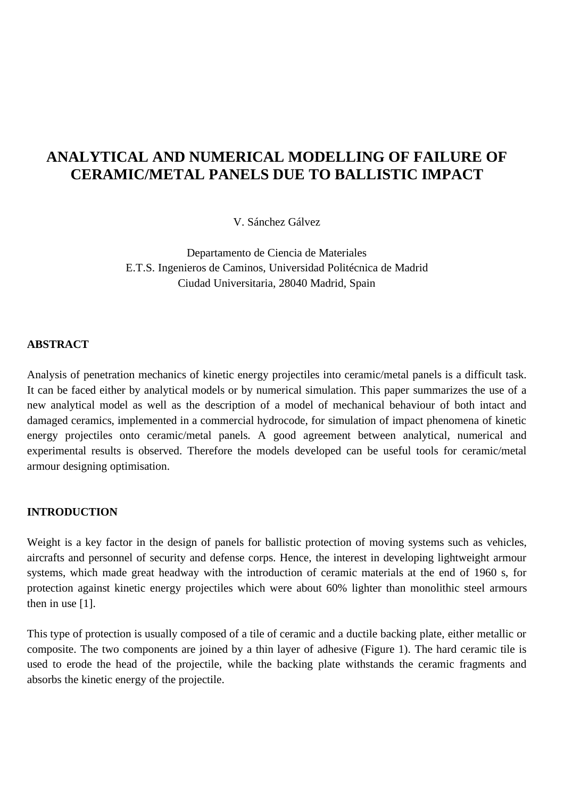# **ANALYTICAL AND NUMERICAL MODELLING OF FAILURE OF CERAMIC/METAL PANELS DUE TO BALLISTIC IMPACT**

V. Sánchez Gálvez

Departamento de Ciencia de Materiales E.T.S. Ingenieros de Caminos, Universidad Politécnica de Madrid Ciudad Universitaria, 28040 Madrid, Spain

### **ABSTRACT**

Analysis of penetration mechanics of kinetic energy projectiles into ceramic/metal panels is a difficult task. It can be faced either by analytical models or by numerical simulation. This paper summarizes the use of a new analytical model as well as the description of a model of mechanical behaviour of both intact and damaged ceramics, implemented in a commercial hydrocode, for simulation of impact phenomena of kinetic energy projectiles onto ceramic/metal panels. A good agreement between analytical, numerical and experimental results is observed. Therefore the models developed can be useful tools for ceramic/metal armour designing optimisation.

#### **INTRODUCTION**

Weight is a key factor in the design of panels for ballistic protection of moving systems such as vehicles, aircrafts and personnel of security and defense corps. Hence, the interest in developing lightweight armour systems, which made great headway with the introduction of ceramic materials at the end of 1960 s, for protection against kinetic energy projectiles which were about 60% lighter than monolithic steel armours then in use [1].

This type of protection is usually composed of a tile of ceramic and a ductile backing plate, either metallic or composite. The two components are joined by a thin layer of adhesive (Figure 1). The hard ceramic tile is used to erode the head of the projectile, while the backing plate withstands the ceramic fragments and absorbs the kinetic energy of the projectile.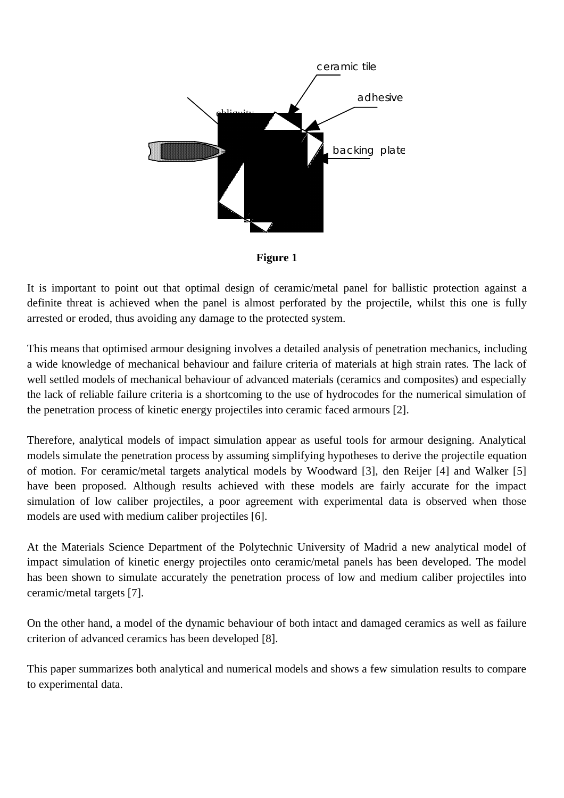

**Figure 1**

It is important to point out that optimal design of ceramic/metal panel for ballistic protection against a definite threat is achieved when the panel is almost perforated by the projectile, whilst this one is fully arrested or eroded, thus avoiding any damage to the protected system.

This means that optimised armour designing involves a detailed analysis of penetration mechanics, including a wide knowledge of mechanical behaviour and failure criteria of materials at high strain rates. The lack of well settled models of mechanical behaviour of advanced materials (ceramics and composites) and especially the lack of reliable failure criteria is a shortcoming to the use of hydrocodes for the numerical simulation of the penetration process of kinetic energy projectiles into ceramic faced armours [2].

Therefore, analytical models of impact simulation appear as useful tools for armour designing. Analytical models simulate the penetration process by assuming simplifying hypotheses to derive the projectile equation of motion. For ceramic/metal targets analytical models by Woodward [3], den Reijer [4] and Walker [5] have been proposed. Although results achieved with these models are fairly accurate for the impact simulation of low caliber projectiles, a poor agreement with experimental data is observed when those models are used with medium caliber projectiles [6].

At the Materials Science Department of the Polytechnic University of Madrid a new analytical model of impact simulation of kinetic energy projectiles onto ceramic/metal panels has been developed. The model has been shown to simulate accurately the penetration process of low and medium caliber projectiles into ceramic/metal targets [7].

On the other hand, a model of the dynamic behaviour of both intact and damaged ceramics as well as failure criterion of advanced ceramics has been developed [8].

This paper summarizes both analytical and numerical models and shows a few simulation results to compare to experimental data.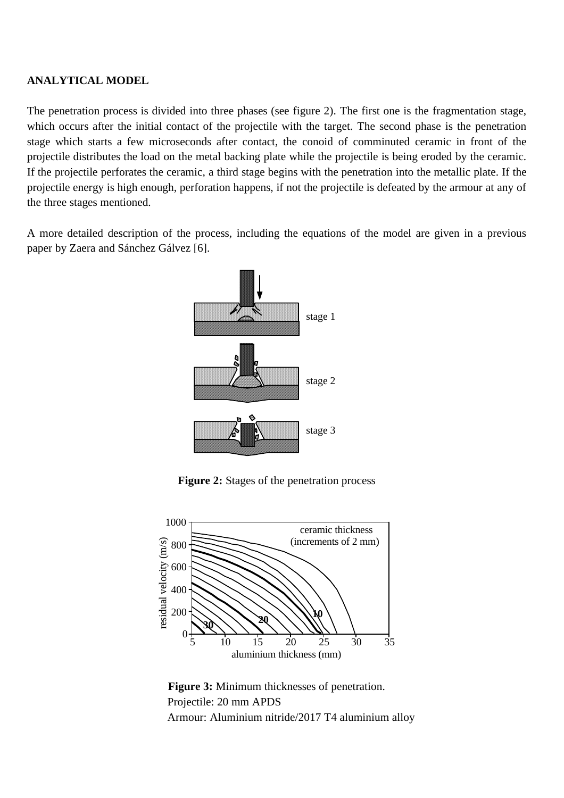# **ANALYTICAL MODEL**

The penetration process is divided into three phases (see figure 2). The first one is the fragmentation stage, which occurs after the initial contact of the projectile with the target. The second phase is the penetration stage which starts a few microseconds after contact, the conoid of comminuted ceramic in front of the projectile distributes the load on the metal backing plate while the projectile is being eroded by the ceramic. If the projectile perforates the ceramic, a third stage begins with the penetration into the metallic plate. If the projectile energy is high enough, perforation happens, if not the projectile is defeated by the armour at any of the three stages mentioned.

A more detailed description of the process, including the equations of the model are given in a previous paper by Zaera and Sánchez Gálvez [6].



**Figure 2:** Stages of the penetration process



**Figure 3:** Minimum thicknesses of penetration. Projectile: 20 mm APDS Armour: Aluminium nitride/2017 T4 aluminium alloy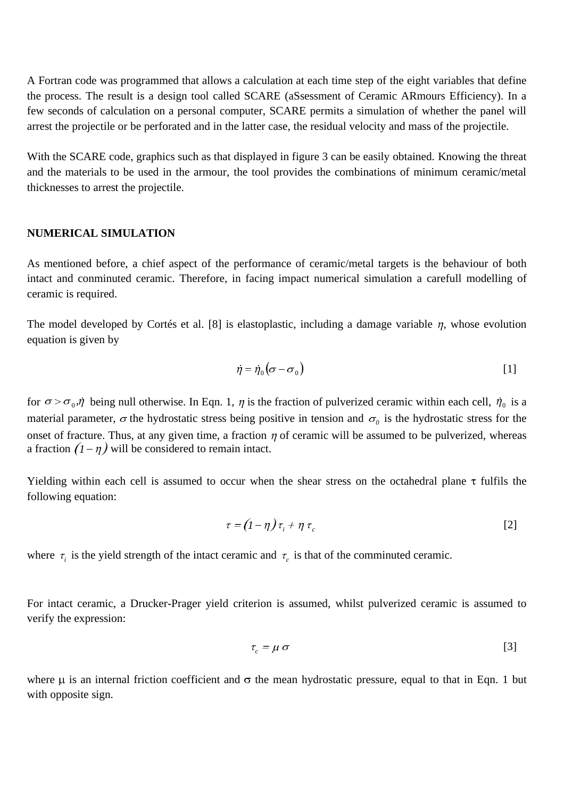A Fortran code was programmed that allows a calculation at each time step of the eight variables that define the process. The result is a design tool called SCARE (aSsessment of Ceramic ARmours Efficiency). In a few seconds of calculation on a personal computer, SCARE permits a simulation of whether the panel will arrest the projectile or be perforated and in the latter case, the residual velocity and mass of the projectile.

With the SCARE code, graphics such as that displayed in figure 3 can be easily obtained. Knowing the threat and the materials to be used in the armour, the tool provides the combinations of minimum ceramic/metal thicknesses to arrest the projectile.

#### **NUMERICAL SIMULATION**

As mentioned before, a chief aspect of the performance of ceramic/metal targets is the behaviour of both intact and conminuted ceramic. Therefore, in facing impact numerical simulation a carefull modelling of ceramic is required.

The model developed by Cortés et al. [8] is elastoplastic, including a damage variable  $\eta$ , whose evolution equation is given by elastoplastic, including a damage variable  $\eta$ , whose evolution<br> $\dot{\eta} = \dot{\eta}_0 (\sigma - \sigma_0)$  [1]

$$
\dot{\eta} = \dot{\eta}_0 (\sigma - \sigma_0) \tag{1}
$$

for  $\sigma > \sigma_0$ ,  $\eta$  being null otherwise. In Eqn. 1,  $\eta$  is the fraction of pulverized ceramic within each cell,  $\eta_0$  is a material parameter,  $\sigma$  the hydrostatic stress being positive in tension and  $\sigma$ <sub>0</sub> is the hydrostatic stress for the onset of fracture. Thus, at any given time, a fraction  $\eta$  of ceramic will be assumed to be pulverized, whereas a fraction  $(1 - \eta)$  will be considered to remain intact.

Yielding within each cell is assumed to occur when the shear stress on the octahedral plane  $\tau$  fulfils the following equation:

$$
\tau = (1 - \eta) \tau_i + \eta \tau_c \tag{2}
$$

where  $\tau_i$  is the yield strength of the intact ceramic and  $\tau_c$  is that of the comminuted ceramic.

For intact ceramic, a Drucker-Prager yield criterion is assumed, whilst pulverized ceramic is assumed to verify the expression:

$$
\tau_c = \mu \sigma \tag{3}
$$

where  $\mu$  is an internal friction coefficient and  $\sigma$  the mean hydrostatic pressure, equal to that in Eqn. 1 but with opposite sign.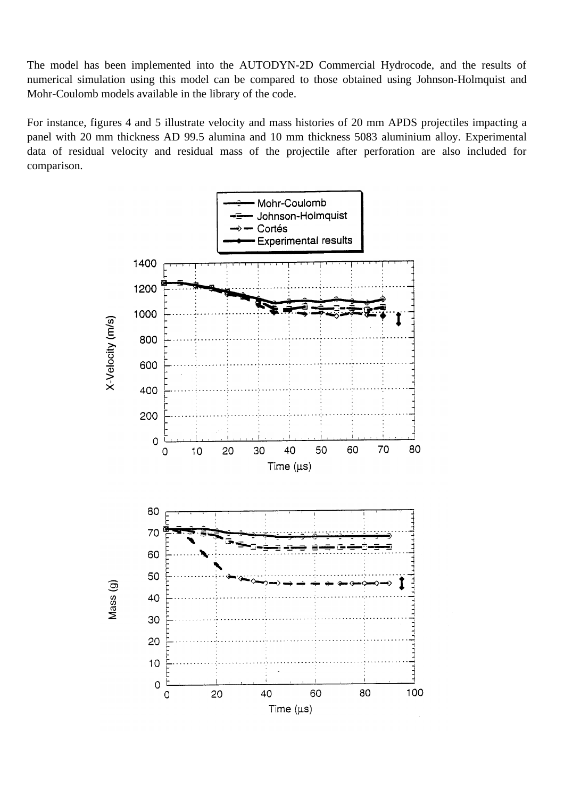The model has been implemented into the AUTODYN-2D Commercial Hydrocode, and the results of numerical simulation using this model can be compared to those obtained using Johnson-Holmquist and Mohr-Coulomb models available in the library of the code.

For instance, figures 4 and 5 illustrate velocity and mass histories of 20 mm APDS projectiles impacting a panel with 20 mm thickness AD 99.5 alumina and 10 mm thickness 5083 aluminium alloy. Experimental data of residual velocity and residual mass of the projectile after perforation are also included for comparison.

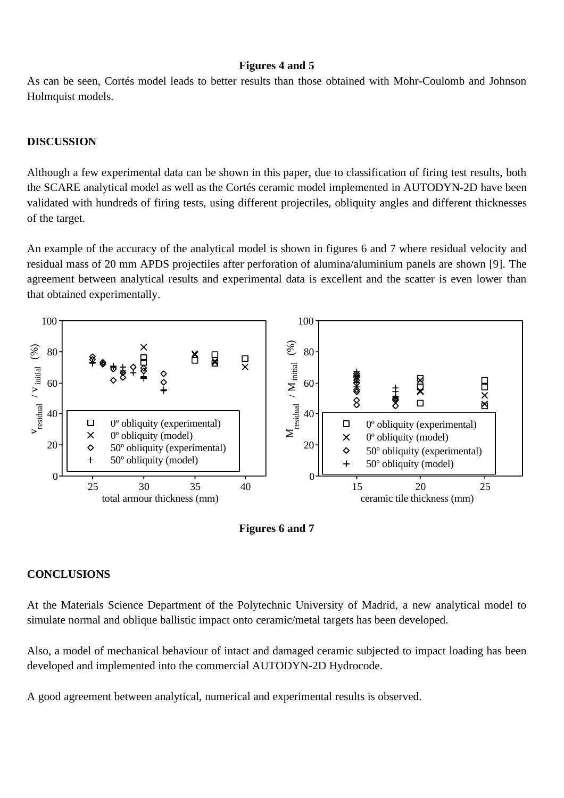## **Figures 4 and 5**

As can be seen, Cortés model leads to better results than those obtained with Mohr-Coulomb and Johnson Holmquist models.

# **DISCUSSION**

Although a few experimental data can be shown in this paper, due to classification of firing test results, both the SCARE analytical model as well as the Cortés ceramic model implemented in AUTODYN-2D have been validated with hundreds of firing tests, using different projectiles, obliquity angles and different thicknesses of the target.

An example of the accuracy of the analytical model is shown in figures 6 and 7 where residual velocity and residual mass of 20 mm APDS projectiles after perforation of alumina/aluminium panels are shown [9]. The agreement between analytical results and experimental data is excellent and the scatter is even lower than that obtained experimentally.





# **CONCLUSIONS**

At the Materials Science Department of the Polytechnic University of Madrid, a new analytical model to simulate normal and oblique ballistic impact onto ceramic/metal targets has been developed.

Also, a model of mechanical behaviour of intact and damaged ceramic subjected to impact loading has been developed and implemented into the commercial AUTODYN-2D Hydrocode.

A good agreement between analytical, numerical and experimental results is observed.